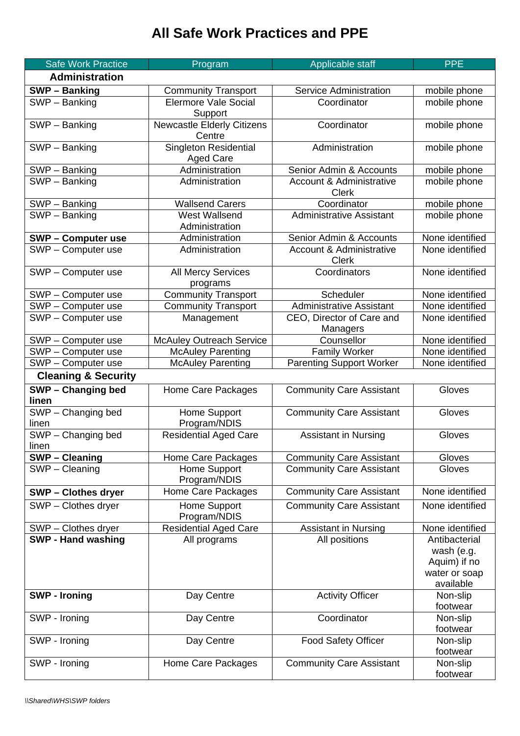## **All Safe Work Practices and PPE**

|       | <b>Safe Work Practice</b>          | Program                                          | Applicable staff                                    | <b>PPE</b>                                                                |
|-------|------------------------------------|--------------------------------------------------|-----------------------------------------------------|---------------------------------------------------------------------------|
|       | <b>Administration</b>              |                                                  |                                                     |                                                                           |
|       | <b>SWP-Banking</b>                 | <b>Community Transport</b>                       | Service Administration                              | mobile phone                                                              |
|       | $\overline{\text{SWP}}$ – Banking  | <b>Elermore Vale Social</b><br>Support           | Coordinator                                         | mobile phone                                                              |
|       | SWP - Banking                      | <b>Newcastle Elderly Citizens</b><br>Centre      | Coordinator                                         | mobile phone                                                              |
|       | SWP - Banking                      | <b>Singleton Residential</b><br><b>Aged Care</b> | Administration                                      | mobile phone                                                              |
|       | SWP - Banking                      | Administration                                   | Senior Admin & Accounts                             | mobile phone                                                              |
|       | SWP - Banking                      | Administration                                   | <b>Account &amp; Administrative</b><br><b>Clerk</b> | mobile phone                                                              |
|       | SWP - Banking                      | <b>Wallsend Carers</b>                           | Coordinator                                         | mobile phone                                                              |
|       | SWP - Banking                      | <b>West Wallsend</b><br>Administration           | <b>Administrative Assistant</b>                     | mobile phone                                                              |
|       | <b>SWP-Computer use</b>            | Administration                                   | Senior Admin & Accounts                             | None identified                                                           |
|       | SWP - Computer use                 | Administration                                   | <b>Account &amp; Administrative</b><br><b>Clerk</b> | None identified                                                           |
|       | SWP - Computer use                 | <b>All Mercy Services</b><br>programs            | Coordinators                                        | None identified                                                           |
|       | SWP - Computer use                 | <b>Community Transport</b>                       | Scheduler                                           | None identified                                                           |
|       | SWP - Computer use                 | <b>Community Transport</b>                       | Administrative Assistant                            | None identified                                                           |
|       | SWP - Computer use                 | Management                                       | CEO, Director of Care and<br>Managers               | None identified                                                           |
|       | SWP - Computer use                 | <b>McAuley Outreach Service</b>                  | Counsellor                                          | None identified                                                           |
|       | SWP - Computer use                 | <b>McAuley Parenting</b>                         | <b>Family Worker</b>                                | None identified                                                           |
|       | SWP - Computer use                 | <b>McAuley Parenting</b>                         | <b>Parenting Support Worker</b>                     | None identified                                                           |
|       | <b>Cleaning &amp; Security</b>     |                                                  |                                                     |                                                                           |
| linen | SWP - Changing bed                 | Home Care Packages                               | <b>Community Care Assistant</b>                     | Gloves                                                                    |
| linen | SWP - Changing bed                 | Home Support<br>Program/NDIS                     | <b>Community Care Assistant</b>                     | Gloves                                                                    |
| linen | SWP - Changing bed                 | <b>Residential Aged Care</b>                     | <b>Assistant in Nursing</b>                         | Gloves                                                                    |
|       | <b>SWP-Cleaning</b>                | Home Care Packages                               | <b>Community Care Assistant</b>                     | Gloves                                                                    |
|       | $\overline{\text{SWP}}$ – Cleaning | Home Support<br>Program/NDIS                     | <b>Community Care Assistant</b>                     | Gloves                                                                    |
|       | <b>SWP-Clothes dryer</b>           | Home Care Packages                               | <b>Community Care Assistant</b>                     | None identified                                                           |
|       | SWP - Clothes dryer                | Home Support<br>Program/NDIS                     | <b>Community Care Assistant</b>                     | None identified                                                           |
|       | SWP - Clothes dryer                | <b>Residential Aged Care</b>                     | <b>Assistant in Nursing</b>                         | None identified                                                           |
|       | <b>SWP - Hand washing</b>          | All programs                                     | All positions                                       | Antibacterial<br>wash (e.g.<br>Aquim) if no<br>water or soap<br>available |
|       | <b>SWP - Ironing</b>               | Day Centre                                       | <b>Activity Officer</b>                             | Non-slip<br>footwear                                                      |
|       | SWP - Ironing                      | Day Centre                                       | Coordinator                                         | Non-slip<br>footwear                                                      |
|       | SWP - Ironing                      | Day Centre                                       | <b>Food Safety Officer</b>                          | Non-slip<br>footwear                                                      |
|       | SWP - Ironing                      | Home Care Packages                               | <b>Community Care Assistant</b>                     | Non-slip<br>footwear                                                      |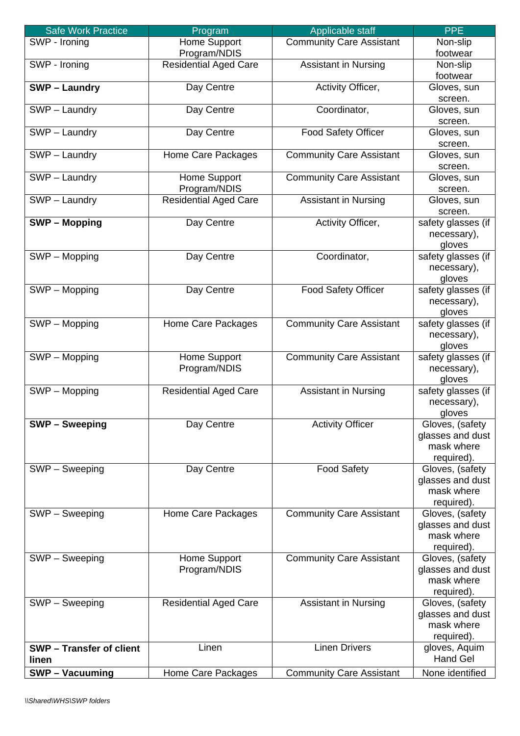| <b>Safe Work Practice</b>         | Program                      | Applicable staff                | <b>PPE</b>         |
|-----------------------------------|------------------------------|---------------------------------|--------------------|
| SWP - Ironing                     | Home Support                 | <b>Community Care Assistant</b> | Non-slip           |
|                                   | Program/NDIS                 |                                 | footwear           |
| SWP - Ironing                     | <b>Residential Aged Care</b> | <b>Assistant in Nursing</b>     | Non-slip           |
|                                   |                              |                                 | footwear           |
| <b>SWP-Laundry</b>                | Day Centre                   | Activity Officer,               | Gloves, sun        |
|                                   |                              |                                 | screen.            |
| SWP - Laundry                     | Day Centre                   | Coordinator,                    | Gloves, sun        |
|                                   |                              |                                 | screen.            |
| SWP - Laundry                     | Day Centre                   | <b>Food Safety Officer</b>      | Gloves, sun        |
|                                   |                              |                                 | screen.            |
| SWP - Laundry                     | Home Care Packages           | <b>Community Care Assistant</b> | Gloves, sun        |
|                                   |                              |                                 | screen.            |
| SWP - Laundry                     | Home Support                 | <b>Community Care Assistant</b> | Gloves, sun        |
|                                   | Program/NDIS                 |                                 | screen.            |
| SWP - Laundry                     | <b>Residential Aged Care</b> | <b>Assistant in Nursing</b>     | Gloves, sun        |
|                                   |                              |                                 | screen.            |
| <b>SWP-Mopping</b>                | Day Centre                   | Activity Officer,               | safety glasses (if |
|                                   |                              |                                 | necessary),        |
|                                   |                              |                                 | gloves             |
| SWP - Mopping                     | Day Centre                   | Coordinator,                    | safety glasses (if |
|                                   |                              |                                 | necessary),        |
|                                   |                              |                                 | gloves             |
| SWP - Mopping                     | Day Centre                   | <b>Food Safety Officer</b>      | safety glasses (if |
|                                   |                              |                                 | necessary),        |
|                                   |                              |                                 | gloves             |
| $\overline{\text{SWP}}$ – Mopping | Home Care Packages           | <b>Community Care Assistant</b> | safety glasses (if |
|                                   |                              |                                 | necessary),        |
|                                   |                              |                                 | gloves             |
| SWP - Mopping                     | Home Support                 | <b>Community Care Assistant</b> | safety glasses (if |
|                                   | Program/NDIS                 |                                 | necessary),        |
|                                   |                              |                                 | gloves             |
| SWP - Mopping                     | <b>Residential Aged Care</b> | <b>Assistant in Nursing</b>     | safety glasses (if |
|                                   |                              |                                 | necessary),        |
|                                   |                              |                                 | gloves             |
| <b>SWP-Sweeping</b>               | Day Centre                   | <b>Activity Officer</b>         | Gloves, (safety    |
|                                   |                              |                                 | glasses and dust   |
|                                   |                              |                                 | mask where         |
|                                   |                              |                                 | required).         |
| SWP - Sweeping                    | Day Centre                   | <b>Food Safety</b>              | Gloves, (safety    |
|                                   |                              |                                 | glasses and dust   |
|                                   |                              |                                 | mask where         |
|                                   |                              |                                 | required).         |
| SWP - Sweeping                    | Home Care Packages           | <b>Community Care Assistant</b> | Gloves, (safety    |
|                                   |                              |                                 | glasses and dust   |
|                                   |                              |                                 | mask where         |
|                                   |                              |                                 | required).         |
| SWP - Sweeping                    | Home Support                 | <b>Community Care Assistant</b> | Gloves, (safety    |
|                                   | Program/NDIS                 |                                 | glasses and dust   |
|                                   |                              |                                 | mask where         |
|                                   |                              |                                 | required).         |
| SWP - Sweeping                    | <b>Residential Aged Care</b> | <b>Assistant in Nursing</b>     | Gloves, (safety    |
|                                   |                              |                                 | glasses and dust   |
|                                   |                              |                                 | mask where         |
|                                   |                              |                                 | required).         |
| <b>SWP-Transfer of client</b>     | Linen                        | <b>Linen Drivers</b>            | gloves, Aquim      |
| linen                             |                              |                                 | <b>Hand Gel</b>    |
| <b>SWP-Vacuuming</b>              | Home Care Packages           | <b>Community Care Assistant</b> | None identified    |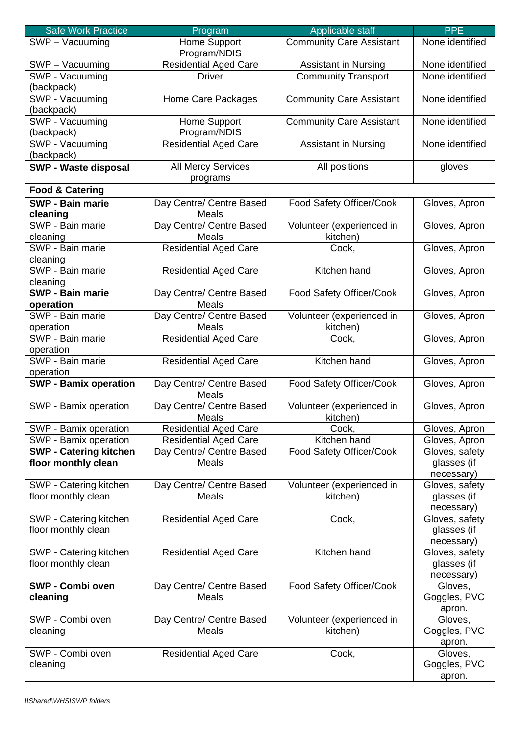| <b>Safe Work Practice</b>                     | Program                                      | Applicable staff                      | <b>PPE</b>                    |
|-----------------------------------------------|----------------------------------------------|---------------------------------------|-------------------------------|
| SWP - Vacuuming                               | Home Support<br>Program/NDIS                 | <b>Community Care Assistant</b>       | None identified               |
| SWP - Vacuuming                               | Residential Aged Care                        | <b>Assistant in Nursing</b>           | None identified               |
| SWP - Vacuuming                               | <b>Driver</b>                                | <b>Community Transport</b>            | None identified               |
| (backpack)                                    |                                              |                                       |                               |
| SWP - Vacuuming                               | Home Care Packages                           | <b>Community Care Assistant</b>       | None identified               |
| (backpack)                                    |                                              |                                       |                               |
| SWP - Vacuuming                               | Home Support                                 | <b>Community Care Assistant</b>       | None identified               |
| (backpack)<br>SWP - Vacuuming                 | Program/NDIS<br><b>Residential Aged Care</b> | <b>Assistant in Nursing</b>           | None identified               |
| (backpack)                                    |                                              |                                       |                               |
| <b>SWP - Waste disposal</b>                   | <b>All Mercy Services</b><br>programs        | All positions                         | gloves                        |
| <b>Food &amp; Catering</b>                    |                                              |                                       |                               |
| <b>SWP - Bain marie</b>                       | Day Centre/ Centre Based                     | Food Safety Officer/Cook              | Gloves, Apron                 |
| cleaning                                      | <b>Meals</b>                                 |                                       |                               |
| SWP - Bain marie                              | Day Centre/ Centre Based                     | Volunteer (experienced in             | Gloves, Apron                 |
| cleaning                                      | Meals                                        | kitchen)                              |                               |
| SWP - Bain marie                              | <b>Residential Aged Care</b>                 | Cook,                                 | Gloves, Apron                 |
| cleaning<br>SWP - Bain marie                  | <b>Residential Aged Care</b>                 | Kitchen hand                          | Gloves, Apron                 |
| cleaning                                      |                                              |                                       |                               |
| <b>SWP - Bain marie</b>                       | Day Centre/ Centre Based                     | Food Safety Officer/Cook              | Gloves, Apron                 |
| operation                                     | <b>Meals</b>                                 |                                       |                               |
| SWP - Bain marie                              | Day Centre/ Centre Based                     | Volunteer (experienced in             | Gloves, Apron                 |
| operation                                     | <b>Meals</b>                                 | kitchen)                              |                               |
| SWP - Bain marie<br>operation                 | <b>Residential Aged Care</b>                 | Cook,                                 | Gloves, Apron                 |
| SWP - Bain marie                              | <b>Residential Aged Care</b>                 | Kitchen hand                          | Gloves, Apron                 |
| operation                                     |                                              |                                       |                               |
| <b>SWP - Bamix operation</b>                  | Day Centre/ Centre Based<br>Meals            | Food Safety Officer/Cook              | Gloves, Apron                 |
| SWP - Bamix operation                         | Day Centre/ Centre Based<br>Meals            | Volunteer (experienced in<br>kitchen) | Gloves, Apron                 |
| SWP - Bamix operation                         | <b>Residential Aged Care</b>                 | Cook,                                 | Gloves, Apron                 |
| SWP - Bamix operation                         | <b>Residential Aged Care</b>                 | Kitchen hand                          | Gloves, Apron                 |
| <b>SWP - Catering kitchen</b>                 | Day Centre/ Centre Based                     | Food Safety Officer/Cook              | Gloves, safety                |
| floor monthly clean                           | <b>Meals</b>                                 |                                       | glasses (if                   |
|                                               |                                              |                                       | necessary)                    |
| SWP - Catering kitchen<br>floor monthly clean | Day Centre/ Centre Based<br><b>Meals</b>     | Volunteer (experienced in<br>kitchen) | Gloves, safety<br>glasses (if |
|                                               |                                              |                                       | necessary)                    |
| SWP - Catering kitchen                        | <b>Residential Aged Care</b>                 | Cook,                                 | Gloves, safety                |
| floor monthly clean                           |                                              |                                       | glasses (if                   |
|                                               |                                              |                                       | necessary)                    |
| SWP - Catering kitchen                        | <b>Residential Aged Care</b>                 | Kitchen hand                          | Gloves, safety                |
| floor monthly clean                           |                                              |                                       | glasses (if<br>necessary)     |
| SWP - Combi oven                              | Day Centre/ Centre Based                     | Food Safety Officer/Cook              | Gloves,                       |
| cleaning                                      | <b>Meals</b>                                 |                                       | Goggles, PVC                  |
|                                               |                                              |                                       | apron.                        |
| SWP - Combi oven                              | Day Centre/ Centre Based                     | Volunteer (experienced in             | Gloves,                       |
| cleaning                                      | <b>Meals</b>                                 | kitchen)                              | Goggles, PVC                  |
|                                               |                                              |                                       | apron.                        |
| SWP - Combi oven                              | <b>Residential Aged Care</b>                 | Cook,                                 | Gloves,                       |
| cleaning                                      |                                              |                                       | Goggles, PVC<br>apron.        |
|                                               |                                              |                                       |                               |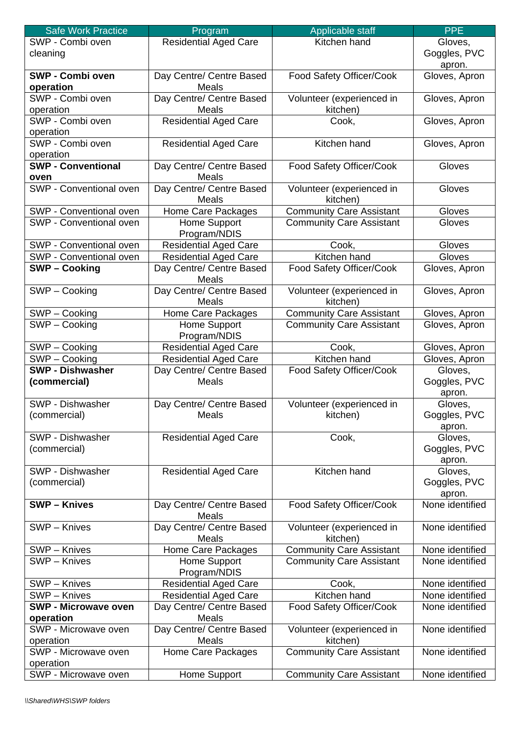| <b>Safe Work Practice</b>   | Program                      | Applicable staff                | <b>PPE</b>      |
|-----------------------------|------------------------------|---------------------------------|-----------------|
| SWP - Combi oven            | <b>Residential Aged Care</b> | Kitchen hand                    | Gloves,         |
| cleaning                    |                              |                                 | Goggles, PVC    |
|                             |                              |                                 | apron.          |
| SWP - Combi oven            | Day Centre/ Centre Based     | Food Safety Officer/Cook        | Gloves, Apron   |
| operation                   | Meals                        |                                 |                 |
| SWP - Combi oven            | Day Centre/ Centre Based     | Volunteer (experienced in       | Gloves, Apron   |
| operation                   | Meals                        | kitchen)                        |                 |
| SWP - Combi oven            | <b>Residential Aged Care</b> | Cook,                           | Gloves, Apron   |
|                             |                              |                                 |                 |
| operation                   |                              |                                 |                 |
| SWP - Combi oven            | <b>Residential Aged Care</b> | Kitchen hand                    | Gloves, Apron   |
| operation                   |                              |                                 |                 |
| <b>SWP - Conventional</b>   | Day Centre/ Centre Based     | Food Safety Officer/Cook        | Gloves          |
| oven                        | Meals                        |                                 |                 |
| SWP - Conventional oven     | Day Centre/ Centre Based     | Volunteer (experienced in       | Gloves          |
|                             | Meals                        | kitchen)                        |                 |
| SWP - Conventional oven     | <b>Home Care Packages</b>    | <b>Community Care Assistant</b> | Gloves          |
| SWP - Conventional oven     | Home Support                 | <b>Community Care Assistant</b> | Gloves          |
|                             | Program/NDIS                 |                                 |                 |
| SWP - Conventional oven     | <b>Residential Aged Care</b> | Cook,                           | Gloves          |
| SWP - Conventional oven     | <b>Residential Aged Care</b> | Kitchen hand                    | Gloves          |
| <b>SWP-Cooking</b>          | Day Centre/ Centre Based     | Food Safety Officer/Cook        | Gloves, Apron   |
|                             | <b>Meals</b>                 |                                 |                 |
| SWP - Cooking               | Day Centre/ Centre Based     | Volunteer (experienced in       | Gloves, Apron   |
|                             | Meals                        | kitchen)                        |                 |
|                             | Home Care Packages           |                                 |                 |
| SWP - Cooking               |                              | <b>Community Care Assistant</b> | Gloves, Apron   |
| SWP-Cooking                 | Home Support                 | <b>Community Care Assistant</b> | Gloves, Apron   |
|                             | Program/NDIS                 |                                 |                 |
| SWP - Cooking               | <b>Residential Aged Care</b> | Cook,                           | Gloves, Apron   |
| SWP-Cooking                 | <b>Residential Aged Care</b> | Kitchen hand                    | Gloves, Apron   |
| <b>SWP - Dishwasher</b>     | Day Centre/ Centre Based     | Food Safety Officer/Cook        | Gloves,         |
| (commercial)                | Meals                        |                                 | Goggles, PVC    |
|                             |                              |                                 | apron.          |
| SWP - Dishwasher            | Day Centre/ Centre Based     | Volunteer (experienced in       | Gloves,         |
| (commercial)                | Meals                        | kitchen)                        | Goggles, PVC    |
|                             |                              |                                 | apron.          |
| SWP - Dishwasher            | <b>Residential Aged Care</b> | Cook,                           | Gloves,         |
| (commercial)                |                              |                                 | Goggles, PVC    |
|                             |                              |                                 | apron.          |
| SWP - Dishwasher            | <b>Residential Aged Care</b> | Kitchen hand                    | Gloves,         |
| (commercial)                |                              |                                 | Goggles, PVC    |
|                             |                              |                                 | apron.          |
| <b>SWP-Knives</b>           | Day Centre/ Centre Based     | Food Safety Officer/Cook        | None identified |
|                             | <b>Meals</b>                 |                                 |                 |
|                             |                              |                                 | None identified |
| SWP - Knives                | Day Centre/ Centre Based     | Volunteer (experienced in       |                 |
|                             | Meals                        | kitchen)                        |                 |
| SWP - Knives                | Home Care Packages           | <b>Community Care Assistant</b> | None identified |
| SWP - Knives                | Home Support                 | <b>Community Care Assistant</b> | None identified |
|                             | Program/NDIS                 |                                 |                 |
| SWP - Knives                | <b>Residential Aged Care</b> | Cook,                           | None identified |
| SWP - Knives                | <b>Residential Aged Care</b> | Kitchen hand                    | None identified |
| <b>SWP - Microwave oven</b> | Day Centre/ Centre Based     | Food Safety Officer/Cook        | None identified |
| operation                   | Meals                        |                                 |                 |
| SWP - Microwave oven        | Day Centre/ Centre Based     | Volunteer (experienced in       | None identified |
| operation                   | Meals                        | kitchen)                        |                 |
| SWP - Microwave oven        | Home Care Packages           | <b>Community Care Assistant</b> | None identified |
| operation                   |                              |                                 |                 |
| SWP - Microwave oven        | Home Support                 | <b>Community Care Assistant</b> | None identified |
|                             |                              |                                 |                 |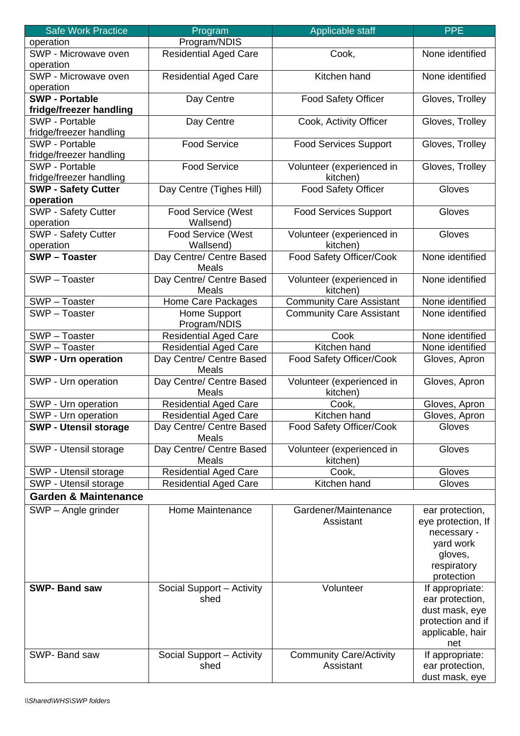| <b>Safe Work Practice</b>       | Program                      | Applicable staff                | <b>PPE</b>         |
|---------------------------------|------------------------------|---------------------------------|--------------------|
| operation                       | Program/NDIS                 |                                 |                    |
| SWP - Microwave oven            | <b>Residential Aged Care</b> | Cook,                           | None identified    |
| operation                       |                              |                                 |                    |
| SWP - Microwave oven            | <b>Residential Aged Care</b> | Kitchen hand                    | None identified    |
| operation                       |                              |                                 |                    |
| <b>SWP - Portable</b>           | Day Centre                   | <b>Food Safety Officer</b>      | Gloves, Trolley    |
| fridge/freezer handling         |                              |                                 |                    |
| SWP - Portable                  | Day Centre                   | Cook, Activity Officer          | Gloves, Trolley    |
| fridge/freezer handling         |                              |                                 |                    |
| SWP - Portable                  | <b>Food Service</b>          | <b>Food Services Support</b>    | Gloves, Trolley    |
| fridge/freezer handling         |                              |                                 |                    |
| <b>SWP - Portable</b>           | <b>Food Service</b>          | Volunteer (experienced in       | Gloves, Trolley    |
| fridge/freezer handling         |                              | kitchen)                        |                    |
| <b>SWP - Safety Cutter</b>      | Day Centre (Tighes Hill)     | <b>Food Safety Officer</b>      | Gloves             |
| operation                       |                              |                                 |                    |
| SWP - Safety Cutter             | Food Service (West           | <b>Food Services Support</b>    | Gloves             |
| operation                       | Wallsend)                    |                                 |                    |
| <b>SWP - Safety Cutter</b>      | <b>Food Service (West</b>    | Volunteer (experienced in       | Gloves             |
| operation                       | Wallsend)                    | kitchen)                        |                    |
| <b>SWP-Toaster</b>              | Day Centre/ Centre Based     | Food Safety Officer/Cook        | None identified    |
|                                 | <b>Meals</b>                 |                                 |                    |
| SWP-Toaster                     | Day Centre/ Centre Based     | Volunteer (experienced in       | None identified    |
|                                 | <b>Meals</b>                 | kitchen)                        |                    |
| SWP-Toaster                     | Home Care Packages           | <b>Community Care Assistant</b> | None identified    |
| SWP-Toaster                     | Home Support<br>Program/NDIS | <b>Community Care Assistant</b> | None identified    |
| SWP-Toaster                     | <b>Residential Aged Care</b> | Cook                            | None identified    |
| SWP-Toaster                     | <b>Residential Aged Care</b> | Kitchen hand                    | None identified    |
| <b>SWP - Urn operation</b>      | Day Centre/ Centre Based     | Food Safety Officer/Cook        | Gloves, Apron      |
|                                 | <b>Meals</b>                 |                                 |                    |
| SWP - Urn operation             | Day Centre/ Centre Based     | Volunteer (experienced in       | Gloves, Apron      |
|                                 | <b>Meals</b>                 | kitchen)                        |                    |
| SWP - Urn operation             | <b>Residential Aged Care</b> | Cook,                           | Gloves, Apron      |
| SWP - Urn operation             | <b>Residential Aged Care</b> | Kitchen hand                    | Gloves, Apron      |
| <b>SWP - Utensil storage</b>    | Day Centre/ Centre Based     | Food Safety Officer/Cook        | Gloves             |
|                                 | Meals                        |                                 |                    |
| SWP - Utensil storage           | Day Centre/ Centre Based     | Volunteer (experienced in       | Gloves             |
|                                 | <b>Meals</b>                 | kitchen)                        |                    |
| SWP - Utensil storage           | <b>Residential Aged Care</b> | Cook,                           | Gloves             |
| SWP - Utensil storage           | <b>Residential Aged Care</b> | Kitchen hand                    | Gloves             |
| <b>Garden &amp; Maintenance</b> |                              |                                 |                    |
| SWP - Angle grinder             | Home Maintenance             | Gardener/Maintenance            | ear protection,    |
|                                 |                              | Assistant                       | eye protection, If |
|                                 |                              |                                 | necessary -        |
|                                 |                              |                                 | yard work          |
|                                 |                              |                                 | gloves,            |
|                                 |                              |                                 | respiratory        |
|                                 |                              |                                 | protection         |
| <b>SWP- Band saw</b>            | Social Support - Activity    | Volunteer                       | If appropriate:    |
|                                 | shed                         |                                 | ear protection,    |
|                                 |                              |                                 | dust mask, eye     |
|                                 |                              |                                 | protection and if  |
|                                 |                              |                                 | applicable, hair   |
|                                 |                              |                                 | net                |
| SWP- Band saw                   | Social Support - Activity    | <b>Community Care/Activity</b>  | If appropriate:    |
|                                 | shed                         | Assistant                       | ear protection,    |
|                                 |                              |                                 | dust mask, eye     |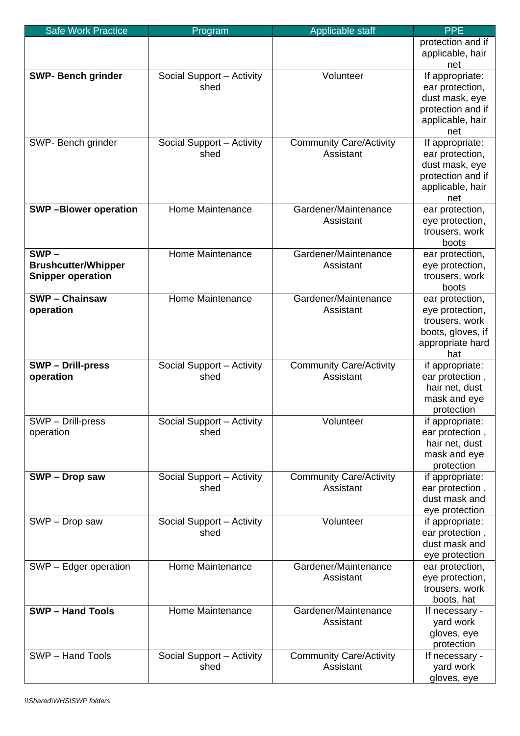| <b>Safe Work Practice</b>                                         | Program                           | Applicable staff                            | <b>PPE</b>                                                                                           |
|-------------------------------------------------------------------|-----------------------------------|---------------------------------------------|------------------------------------------------------------------------------------------------------|
|                                                                   |                                   |                                             | protection and if<br>applicable, hair<br>net                                                         |
| <b>SWP- Bench grinder</b>                                         | Social Support - Activity<br>shed | Volunteer                                   | If appropriate:<br>ear protection,<br>dust mask, eye<br>protection and if<br>applicable, hair<br>net |
| SWP- Bench grinder                                                | Social Support - Activity<br>shed | <b>Community Care/Activity</b><br>Assistant | If appropriate:<br>ear protection,<br>dust mask, eye<br>protection and if<br>applicable, hair<br>net |
| <b>SWP-Blower operation</b>                                       | Home Maintenance                  | Gardener/Maintenance<br>Assistant           | ear protection,<br>eye protection,<br>trousers, work<br>boots                                        |
| $SWP -$<br><b>Brushcutter/Whipper</b><br><b>Snipper operation</b> | Home Maintenance                  | Gardener/Maintenance<br>Assistant           | ear protection,<br>eye protection,<br>trousers, work<br>boots                                        |
| <b>SWP-Chainsaw</b><br>operation                                  | Home Maintenance                  | Gardener/Maintenance<br>Assistant           | ear protection,<br>eye protection,<br>trousers, work<br>boots, gloves, if<br>appropriate hard<br>hat |
| <b>SWP-Drill-press</b><br>operation                               | Social Support - Activity<br>shed | <b>Community Care/Activity</b><br>Assistant | if appropriate:<br>ear protection,<br>hair net, dust<br>mask and eye<br>protection                   |
| SWP - Drill-press<br>operation                                    | Social Support - Activity<br>shed | Volunteer                                   | if appropriate:<br>ear protection,<br>hair net, dust<br>mask and eye<br>protection                   |
| SWP - Drop saw                                                    | Social Support - Activity<br>shed | <b>Community Care/Activity</b><br>Assistant | if appropriate:<br>ear protection,<br>dust mask and<br>eye protection                                |
| SWP - Drop saw                                                    | Social Support - Activity<br>shed | Volunteer                                   | if appropriate:<br>ear protection,<br>dust mask and<br>eye protection                                |
| SWP - Edger operation                                             | Home Maintenance                  | Gardener/Maintenance<br>Assistant           | ear protection,<br>eye protection,<br>trousers, work<br>boots, hat                                   |
| <b>SWP-Hand Tools</b>                                             | Home Maintenance                  | Gardener/Maintenance<br>Assistant           | If necessary -<br>yard work<br>gloves, eye<br>protection                                             |
| SWP - Hand Tools                                                  | Social Support - Activity<br>shed | <b>Community Care/Activity</b><br>Assistant | If necessary -<br>yard work<br>gloves, eye                                                           |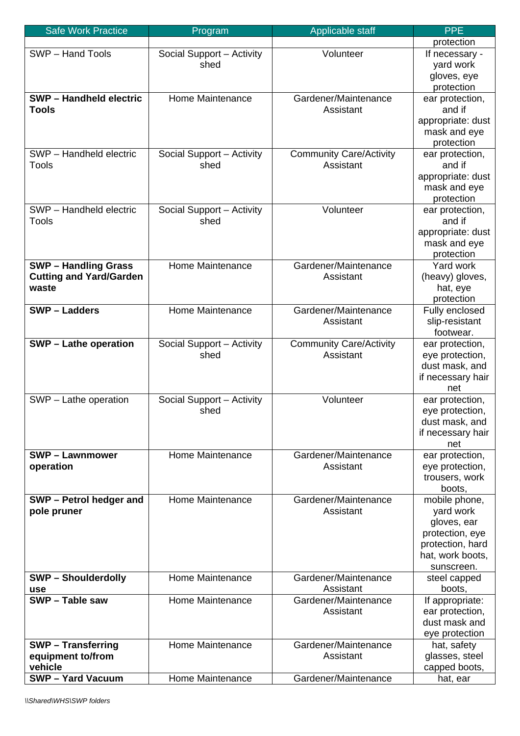| <b>Safe Work Practice</b>      | Program                   | Applicable staff                  | <b>PPE</b>                         |
|--------------------------------|---------------------------|-----------------------------------|------------------------------------|
|                                |                           |                                   | protection                         |
| SWP - Hand Tools               | Social Support - Activity | Volunteer                         | If necessary -                     |
|                                | shed                      |                                   | yard work                          |
|                                |                           |                                   | gloves, eye                        |
|                                |                           |                                   | protection                         |
| <b>SWP-Handheld electric</b>   | Home Maintenance          | Gardener/Maintenance              | ear protection,                    |
| Tools                          |                           | Assistant                         | and if                             |
|                                |                           |                                   | appropriate: dust                  |
|                                |                           |                                   | mask and eye<br>protection         |
| SWP - Handheld electric        | Social Support - Activity | <b>Community Care/Activity</b>    | ear protection,                    |
| Tools                          | shed                      | Assistant                         | and if                             |
|                                |                           |                                   | appropriate: dust                  |
|                                |                           |                                   | mask and eye                       |
|                                |                           |                                   | protection                         |
| SWP - Handheld electric        | Social Support - Activity | Volunteer                         | ear protection,                    |
| <b>Tools</b>                   | shed                      |                                   | and if                             |
|                                |                           |                                   | appropriate: dust                  |
|                                |                           |                                   | mask and eye                       |
|                                |                           |                                   | protection                         |
| <b>SWP-Handling Grass</b>      | Home Maintenance          | Gardener/Maintenance              | Yard work                          |
| <b>Cutting and Yard/Garden</b> |                           | Assistant                         | (heavy) gloves,                    |
| waste                          |                           |                                   | hat, eye                           |
| <b>SWP-Ladders</b>             | Home Maintenance          | Gardener/Maintenance              | protection                         |
|                                |                           | Assistant                         | Fully enclosed<br>slip-resistant   |
|                                |                           |                                   | footwear.                          |
| <b>SWP-Lathe operation</b>     | Social Support - Activity | <b>Community Care/Activity</b>    | ear protection,                    |
|                                | shed                      | Assistant                         | eye protection,                    |
|                                |                           |                                   | dust mask, and                     |
|                                |                           |                                   | if necessary hair                  |
|                                |                           |                                   | net                                |
| SWP - Lathe operation          | Social Support - Activity | Volunteer                         | ear protection,                    |
|                                | shed                      |                                   | eye protection,                    |
|                                |                           |                                   | dust mask, and                     |
|                                |                           |                                   | if necessary hair                  |
| <b>SWP-Lawnmower</b>           | Home Maintenance          | Gardener/Maintenance              | net                                |
| operation                      |                           | Assistant                         | ear protection,<br>eye protection, |
|                                |                           |                                   | trousers, work                     |
|                                |                           |                                   | boots,                             |
| SWP - Petrol hedger and        | Home Maintenance          | Gardener/Maintenance              | mobile phone,                      |
| pole pruner                    |                           | Assistant                         | yard work                          |
|                                |                           |                                   | gloves, ear                        |
|                                |                           |                                   | protection, eye                    |
|                                |                           |                                   | protection, hard                   |
|                                |                           |                                   | hat, work boots,                   |
|                                |                           |                                   | sunscreen.                         |
| <b>SWP-Shoulderdolly</b>       | Home Maintenance          | Gardener/Maintenance              | steel capped                       |
| use<br>SWP - Table saw         | Home Maintenance          | Assistant<br>Gardener/Maintenance | boots,                             |
|                                |                           | Assistant                         | If appropriate:<br>ear protection, |
|                                |                           |                                   | dust mask and                      |
|                                |                           |                                   | eye protection                     |
| <b>SWP-Transferring</b>        | Home Maintenance          | Gardener/Maintenance              | hat, safety                        |
| equipment to/from              |                           | Assistant                         | glasses, steel                     |
| vehicle                        |                           |                                   | capped boots,                      |
| <b>SWP - Yard Vacuum</b>       | Home Maintenance          | Gardener/Maintenance              | hat, ear                           |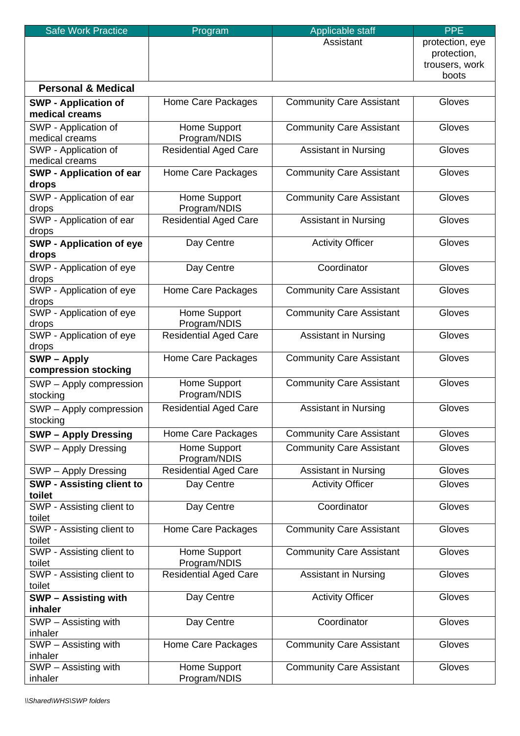| <b>Safe Work Practice</b>        | Program                      | Applicable staff                | <b>PPE</b>      |
|----------------------------------|------------------------------|---------------------------------|-----------------|
|                                  |                              | Assistant                       | protection, eye |
|                                  |                              |                                 | protection,     |
|                                  |                              |                                 | trousers, work  |
|                                  |                              |                                 | boots           |
| <b>Personal &amp; Medical</b>    |                              |                                 |                 |
| <b>SWP - Application of</b>      | Home Care Packages           | <b>Community Care Assistant</b> | Gloves          |
| medical creams                   |                              |                                 |                 |
| SWP - Application of             | Home Support                 | <b>Community Care Assistant</b> | Gloves          |
| medical creams                   | Program/NDIS                 |                                 |                 |
| SWP - Application of             | <b>Residential Aged Care</b> | <b>Assistant in Nursing</b>     | Gloves          |
| medical creams                   |                              |                                 |                 |
| <b>SWP - Application of ear</b>  | Home Care Packages           | <b>Community Care Assistant</b> | Gloves          |
| drops                            |                              |                                 |                 |
| SWP - Application of ear         | Home Support                 | <b>Community Care Assistant</b> | Gloves          |
| drops                            | Program/NDIS                 |                                 |                 |
| SWP - Application of ear         | <b>Residential Aged Care</b> | <b>Assistant in Nursing</b>     | Gloves          |
| drops                            |                              |                                 |                 |
| <b>SWP - Application of eye</b>  | Day Centre                   | <b>Activity Officer</b>         | Gloves          |
| drops                            |                              |                                 |                 |
| SWP - Application of eye         | Day Centre                   | Coordinator                     | Gloves          |
| drops                            |                              |                                 |                 |
| SWP - Application of eye         | Home Care Packages           | <b>Community Care Assistant</b> | Gloves          |
| drops                            |                              |                                 |                 |
| SWP - Application of eye         | Home Support                 | Community Care Assistant        | Gloves          |
| drops                            | Program/NDIS                 |                                 |                 |
| SWP - Application of eye         | <b>Residential Aged Care</b> | <b>Assistant in Nursing</b>     | Gloves          |
| drops                            |                              |                                 |                 |
| <b>SWP-Apply</b>                 | Home Care Packages           | <b>Community Care Assistant</b> | Gloves          |
| compression stocking             |                              |                                 |                 |
| SWP - Apply compression          | Home Support                 | <b>Community Care Assistant</b> | Gloves          |
| stocking                         | Program/NDIS                 |                                 |                 |
|                                  | <b>Residential Aged Care</b> | <b>Assistant in Nursing</b>     | Gloves          |
| SWP - Apply compression          |                              |                                 |                 |
| stocking                         |                              |                                 |                 |
| <b>SWP - Apply Dressing</b>      | Home Care Packages           | <b>Community Care Assistant</b> | Gloves          |
| SWP - Apply Dressing             | Home Support                 | <b>Community Care Assistant</b> | Gloves          |
|                                  | Program/NDIS                 |                                 |                 |
| SWP - Apply Dressing             | <b>Residential Aged Care</b> | <b>Assistant in Nursing</b>     | Gloves          |
| <b>SWP - Assisting client to</b> | Day Centre                   | <b>Activity Officer</b>         | Gloves          |
| toilet                           |                              |                                 |                 |
| SWP - Assisting client to        | Day Centre                   | Coordinator                     | Gloves          |
| toilet                           |                              |                                 |                 |
| SWP - Assisting client to        | Home Care Packages           | <b>Community Care Assistant</b> | Gloves          |
| toilet                           |                              |                                 |                 |
| SWP - Assisting client to        | Home Support                 | <b>Community Care Assistant</b> | Gloves          |
| toilet                           | Program/NDIS                 |                                 |                 |
| SWP - Assisting client to        | <b>Residential Aged Care</b> | <b>Assistant in Nursing</b>     | Gloves          |
| toilet                           |                              |                                 |                 |
| <b>SWP - Assisting with</b>      | Day Centre                   | <b>Activity Officer</b>         | Gloves          |
| inhaler                          |                              |                                 |                 |
| SWP - Assisting with             | Day Centre                   | Coordinator                     | Gloves          |
| inhaler                          |                              |                                 |                 |
| SWP - Assisting with             | Home Care Packages           | <b>Community Care Assistant</b> | Gloves          |
| inhaler                          |                              |                                 |                 |
| SWP - Assisting with             | Home Support                 | <b>Community Care Assistant</b> | Gloves          |
| inhaler                          | Program/NDIS                 |                                 |                 |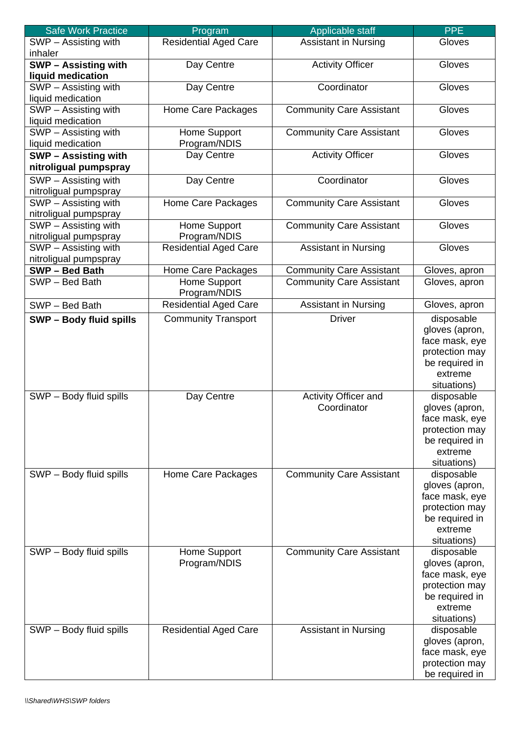| <b>Safe Work Practice</b>                     | Program                      | Applicable staff                | <b>PPE</b>     |
|-----------------------------------------------|------------------------------|---------------------------------|----------------|
| SWP - Assisting with<br>inhaler               | <b>Residential Aged Care</b> | <b>Assistant in Nursing</b>     | Gloves         |
| <b>SWP - Assisting with</b>                   | Day Centre                   | <b>Activity Officer</b>         | Gloves         |
| liquid medication                             |                              |                                 |                |
| SWP - Assisting with                          | Day Centre                   | Coordinator                     | Gloves         |
| liquid medication                             |                              |                                 |                |
| SWP - Assisting with                          | Home Care Packages           | <b>Community Care Assistant</b> | Gloves         |
| liquid medication                             |                              |                                 |                |
| SWP - Assisting with                          | Home Support                 | <b>Community Care Assistant</b> | Gloves         |
| liquid medication                             | Program/NDIS                 |                                 |                |
| <b>SWP-Assisting with</b>                     | Day Centre                   | <b>Activity Officer</b>         | Gloves         |
| nitroligual pumpspray                         |                              |                                 |                |
| SWP - Assisting with<br>nitroligual pumpspray | Day Centre                   | Coordinator                     | Gloves         |
| SWP - Assisting with                          | Home Care Packages           | <b>Community Care Assistant</b> | Gloves         |
| nitroligual pumpspray                         |                              |                                 |                |
| SWP - Assisting with                          | Home Support                 | <b>Community Care Assistant</b> | Gloves         |
| nitroligual pumpspray                         | Program/NDIS                 |                                 |                |
| SWP - Assisting with                          | Residential Aged Care        | <b>Assistant in Nursing</b>     | Gloves         |
| nitroligual pumpspray                         |                              |                                 |                |
| SWP - Bed Bath                                | Home Care Packages           | <b>Community Care Assistant</b> | Gloves, apron  |
| SWP-Bed Bath                                  | Home Support<br>Program/NDIS | <b>Community Care Assistant</b> | Gloves, apron  |
| SWP - Bed Bath                                | <b>Residential Aged Care</b> | <b>Assistant in Nursing</b>     | Gloves, apron  |
| <b>SWP - Body fluid spills</b>                | <b>Community Transport</b>   | <b>Driver</b>                   | disposable     |
|                                               |                              |                                 | gloves (apron, |
|                                               |                              |                                 | face mask, eye |
|                                               |                              |                                 | protection may |
|                                               |                              |                                 | be required in |
|                                               |                              |                                 | extreme        |
|                                               |                              |                                 | situations)    |
| SWP - Body fluid spills                       | Day Centre                   | Activity Officer and            | disposable     |
|                                               |                              | Coordinator                     | gloves (apron, |
|                                               |                              |                                 | face mask, eye |
|                                               |                              |                                 | protection may |
|                                               |                              |                                 | be required in |
|                                               |                              |                                 | extreme        |
|                                               |                              |                                 | situations)    |
| SWP - Body fluid spills                       | Home Care Packages           | <b>Community Care Assistant</b> | disposable     |
|                                               |                              |                                 | gloves (apron, |
|                                               |                              |                                 | face mask, eye |
|                                               |                              |                                 | protection may |
|                                               |                              |                                 | be required in |
|                                               |                              |                                 | extreme        |
|                                               |                              |                                 | situations)    |
| SWP - Body fluid spills                       | Home Support                 | <b>Community Care Assistant</b> | disposable     |
|                                               | Program/NDIS                 |                                 | gloves (apron, |
|                                               |                              |                                 | face mask, eye |
|                                               |                              |                                 | protection may |
|                                               |                              |                                 | be required in |
|                                               |                              |                                 | extreme        |
|                                               |                              |                                 | situations)    |
| SWP - Body fluid spills                       | <b>Residential Aged Care</b> | <b>Assistant in Nursing</b>     | disposable     |
|                                               |                              |                                 | gloves (apron, |
|                                               |                              |                                 | face mask, eye |
|                                               |                              |                                 | protection may |
|                                               |                              |                                 | be required in |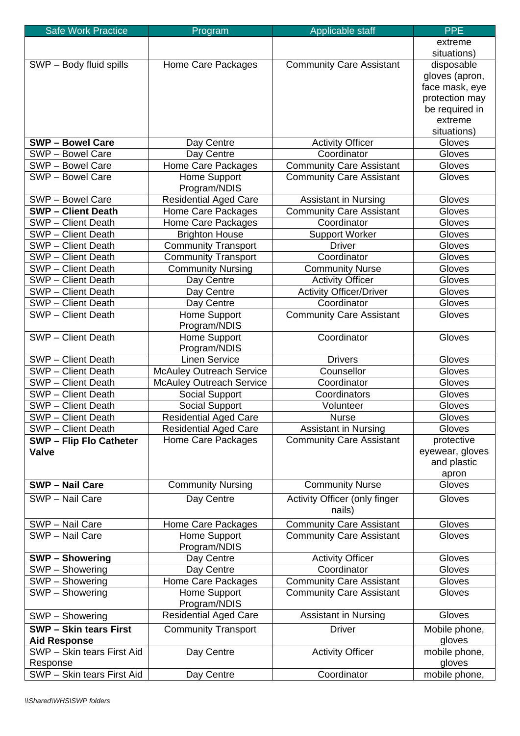| <b>Safe Work Practice</b>      | Program                         | Applicable staff                        | <b>PPE</b>           |
|--------------------------------|---------------------------------|-----------------------------------------|----------------------|
|                                |                                 |                                         | extreme              |
|                                |                                 |                                         | situations)          |
| SWP - Body fluid spills        | Home Care Packages              | <b>Community Care Assistant</b>         | disposable           |
|                                |                                 |                                         | gloves (apron,       |
|                                |                                 |                                         | face mask, eye       |
|                                |                                 |                                         | protection may       |
|                                |                                 |                                         | be required in       |
|                                |                                 |                                         | extreme              |
|                                |                                 |                                         | situations)          |
| <b>SWP-Bowel Care</b>          | Day Centre                      | <b>Activity Officer</b>                 | Gloves               |
| SWP - Bowel Care               | Day Centre                      | Coordinator                             | Gloves               |
| SWP - Bowel Care               | Home Care Packages              | <b>Community Care Assistant</b>         | Gloves               |
| SWP - Bowel Care               | Home Support<br>Program/NDIS    | <b>Community Care Assistant</b>         | Gloves               |
| SWP - Bowel Care               | <b>Residential Aged Care</b>    | <b>Assistant in Nursing</b>             | Gloves               |
| <b>SWP-Client Death</b>        | Home Care Packages              | <b>Community Care Assistant</b>         | Gloves               |
| SWP - Client Death             | Home Care Packages              | Coordinator                             | Gloves               |
| SWP - Client Death             | <b>Brighton House</b>           | <b>Support Worker</b>                   | Gloves               |
| SWP - Client Death             | <b>Community Transport</b>      | <b>Driver</b>                           | Gloves               |
| SWP - Client Death             | <b>Community Transport</b>      | Coordinator                             | Gloves               |
| SWP - Client Death             | <b>Community Nursing</b>        | <b>Community Nurse</b>                  | Gloves               |
| SWP - Client Death             | Day Centre                      | <b>Activity Officer</b>                 | Gloves               |
| SWP - Client Death             | Day Centre                      | <b>Activity Officer/Driver</b>          | Gloves               |
| SWP - Client Death             | Day Centre                      | Coordinator                             | Gloves               |
| SWP - Client Death             | Home Support<br>Program/NDIS    | <b>Community Care Assistant</b>         | Gloves               |
| SWP - Client Death             | Home Support<br>Program/NDIS    | Coordinator                             | Gloves               |
| SWP - Client Death             | <b>Linen Service</b>            | <b>Drivers</b>                          | Gloves               |
| SWP - Client Death             | <b>McAuley Outreach Service</b> | Counsellor                              | Gloves               |
| SWP - Client Death             | <b>McAuley Outreach Service</b> | Coordinator                             | Gloves               |
| SWP - Client Death             | Social Support                  | Coordinators                            | Gloves               |
| SWP - Client Death             | Social Support                  | Volunteer                               | Gloves               |
| SWP - Client Death             | <b>Residential Aged Care</b>    | <b>Nurse</b>                            | Gloves               |
| SWP - Client Death             | <b>Residential Aged Care</b>    | <b>Assistant in Nursing</b>             | Gloves               |
| <b>SWP - Flip Flo Catheter</b> | Home Care Packages              | <b>Community Care Assistant</b>         | protective           |
| <b>Valve</b>                   |                                 |                                         | eyewear, gloves      |
|                                |                                 |                                         | and plastic<br>apron |
| <b>SWP - Nail Care</b>         | <b>Community Nursing</b>        | <b>Community Nurse</b>                  | Gloves               |
| SWP - Nail Care                | Day Centre                      |                                         | Gloves               |
|                                |                                 | Activity Officer (only finger<br>nails) |                      |
| SWP - Nail Care                | Home Care Packages              | <b>Community Care Assistant</b>         | Gloves               |
| SWP - Nail Care                | Home Support<br>Program/NDIS    | <b>Community Care Assistant</b>         | Gloves               |
| <b>SWP-Showering</b>           | Day Centre                      | <b>Activity Officer</b>                 | Gloves               |
| SWP - Showering                | Day Centre                      | Coordinator                             | Gloves               |
| SWP - Showering                | Home Care Packages              | Community Care Assistant                | Gloves               |
| SWP - Showering                | Home Support<br>Program/NDIS    | <b>Community Care Assistant</b>         | Gloves               |
| SWP - Showering                | <b>Residential Aged Care</b>    | <b>Assistant in Nursing</b>             | Gloves               |
| <b>SWP - Skin tears First</b>  | <b>Community Transport</b>      | <b>Driver</b>                           | Mobile phone,        |
| <b>Aid Response</b>            |                                 |                                         | gloves               |
| SWP - Skin tears First Aid     | Day Centre                      | <b>Activity Officer</b>                 | mobile phone,        |
| Response                       |                                 |                                         | gloves               |
| SWP - Skin tears First Aid     | Day Centre                      | Coordinator                             | mobile phone,        |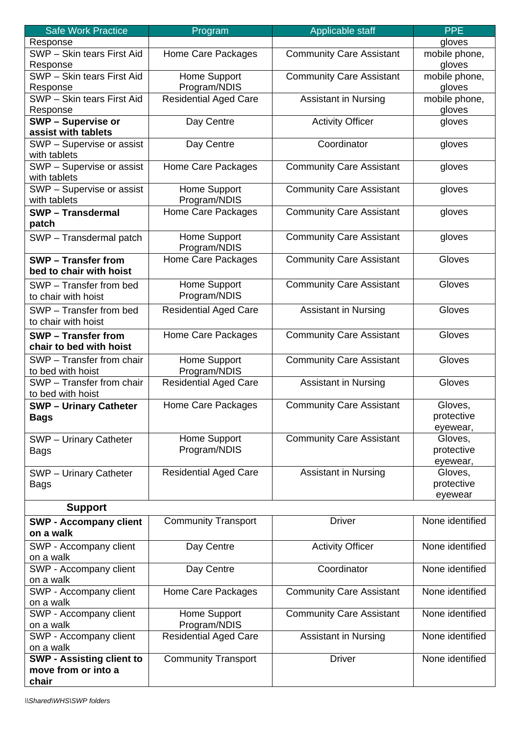| Safe Work Practice                             | Program                      | Applicable staff                | <b>PPE</b>          |
|------------------------------------------------|------------------------------|---------------------------------|---------------------|
| Response                                       |                              |                                 | gloves              |
| SWP - Skin tears First Aid                     | Home Care Packages           | <b>Community Care Assistant</b> | mobile phone,       |
| Response                                       |                              |                                 | gloves              |
| SWP - Skin tears First Aid                     | Home Support                 | <b>Community Care Assistant</b> | mobile phone,       |
| Response                                       | Program/NDIS                 |                                 | gloves              |
| SWP - Skin tears First Aid                     | <b>Residential Aged Care</b> | <b>Assistant in Nursing</b>     | mobile phone,       |
| Response                                       |                              |                                 | gloves              |
| <b>SWP - Supervise or</b>                      | Day Centre                   | <b>Activity Officer</b>         | gloves              |
| assist with tablets                            |                              |                                 |                     |
| SWP - Supervise or assist                      | Day Centre                   | Coordinator                     | gloves              |
| with tablets                                   |                              |                                 |                     |
| SWP - Supervise or assist                      | Home Care Packages           | Community Care Assistant        | gloves              |
| with tablets                                   |                              |                                 |                     |
| SWP - Supervise or assist                      | Home Support                 | <b>Community Care Assistant</b> | gloves              |
| with tablets                                   | Program/NDIS                 |                                 |                     |
| <b>SWP-Transdermal</b>                         | Home Care Packages           | <b>Community Care Assistant</b> | gloves              |
|                                                |                              |                                 |                     |
| patch                                          |                              |                                 |                     |
| SWP - Transdermal patch                        | Home Support                 | <b>Community Care Assistant</b> | gloves              |
|                                                | Program/NDIS                 |                                 |                     |
| <b>SWP</b> – Transfer from                     | Home Care Packages           | <b>Community Care Assistant</b> | Gloves              |
| bed to chair with hoist                        |                              |                                 |                     |
| SWP - Transfer from bed                        | Home Support                 | <b>Community Care Assistant</b> | Gloves              |
| to chair with hoist                            | Program/NDIS                 |                                 |                     |
| SWP - Transfer from bed                        | <b>Residential Aged Care</b> | <b>Assistant in Nursing</b>     | Gloves              |
| to chair with hoist                            |                              |                                 |                     |
| <b>SWP</b> – Transfer from                     | Home Care Packages           | <b>Community Care Assistant</b> | Gloves              |
| chair to bed with hoist                        |                              |                                 |                     |
|                                                |                              |                                 |                     |
| SWP - Transfer from chair                      | Home Support                 | <b>Community Care Assistant</b> | Gloves              |
| to bed with hoist<br>SWP - Transfer from chair | Program/NDIS                 |                                 | Gloves              |
| to bed with hoist                              | <b>Residential Aged Care</b> | <b>Assistant in Nursing</b>     |                     |
|                                                | Home Care Packages           | <b>Community Care Assistant</b> | Gloves,             |
| <b>SWP- Urinary Catheter</b>                   |                              |                                 | protective          |
| <b>Bags</b>                                    |                              |                                 |                     |
|                                                | Home Support                 | <b>Community Care Assistant</b> | eyewear,<br>Gloves, |
| <b>SWP</b> - Urinary Catheter                  |                              |                                 |                     |
| <b>Bags</b>                                    | Program/NDIS                 |                                 | protective          |
|                                                |                              |                                 | eyewear,            |
| <b>SWP</b> - Urinary Catheter                  | <b>Residential Aged Care</b> | <b>Assistant in Nursing</b>     | Gloves,             |
| <b>Bags</b>                                    |                              |                                 | protective          |
|                                                |                              |                                 | eyewear             |
| <b>Support</b>                                 |                              |                                 |                     |
| <b>SWP - Accompany client</b>                  | <b>Community Transport</b>   | <b>Driver</b>                   | None identified     |
| on a walk                                      |                              |                                 |                     |
| SWP - Accompany client                         | Day Centre                   | <b>Activity Officer</b>         | None identified     |
| on a walk                                      |                              |                                 |                     |
| SWP - Accompany client                         | Day Centre                   | Coordinator                     | None identified     |
| on a walk                                      |                              |                                 |                     |
| SWP - Accompany client                         | Home Care Packages           | <b>Community Care Assistant</b> | None identified     |
| on a walk                                      |                              |                                 |                     |
| SWP - Accompany client                         | Home Support                 | <b>Community Care Assistant</b> | None identified     |
| on a walk                                      | Program/NDIS                 |                                 |                     |
| SWP - Accompany client                         | <b>Residential Aged Care</b> | <b>Assistant in Nursing</b>     | None identified     |
| on a walk                                      |                              |                                 |                     |
| <b>SWP - Assisting client to</b>               | <b>Community Transport</b>   | <b>Driver</b>                   | None identified     |
| move from or into a                            |                              |                                 |                     |
| chair                                          |                              |                                 |                     |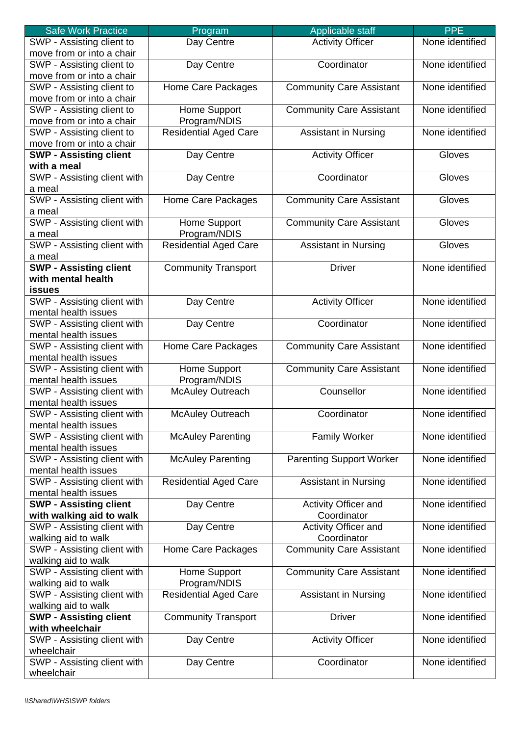| <b>Safe Work Practice</b>     | Program                      | Applicable staff                | <b>PPE</b>      |
|-------------------------------|------------------------------|---------------------------------|-----------------|
| SWP - Assisting client to     | Day Centre                   | <b>Activity Officer</b>         | None identified |
| move from or into a chair     |                              |                                 |                 |
| SWP - Assisting client to     | Day Centre                   | Coordinator                     | None identified |
| move from or into a chair     |                              |                                 |                 |
| SWP - Assisting client to     | Home Care Packages           | <b>Community Care Assistant</b> | None identified |
| move from or into a chair     |                              |                                 |                 |
|                               |                              |                                 | None identified |
| SWP - Assisting client to     | Home Support                 | <b>Community Care Assistant</b> |                 |
| move from or into a chair     | Program/NDIS                 |                                 |                 |
| SWP - Assisting client to     | <b>Residential Aged Care</b> | <b>Assistant in Nursing</b>     | None identified |
| move from or into a chair     |                              |                                 |                 |
| <b>SWP - Assisting client</b> | Day Centre                   | <b>Activity Officer</b>         | Gloves          |
| with a meal                   |                              |                                 |                 |
| SWP - Assisting client with   | Day Centre                   | Coordinator                     | Gloves          |
| a meal                        |                              |                                 |                 |
| SWP - Assisting client with   | Home Care Packages           | <b>Community Care Assistant</b> | Gloves          |
| a meal                        |                              |                                 |                 |
| SWP - Assisting client with   | Home Support                 | <b>Community Care Assistant</b> | Gloves          |
| a meal                        | Program/NDIS                 |                                 |                 |
| SWP - Assisting client with   | Residential Aged Care        | <b>Assistant in Nursing</b>     | Gloves          |
| a meal                        |                              |                                 |                 |
| <b>SWP - Assisting client</b> | <b>Community Transport</b>   | <b>Driver</b>                   | None identified |
| with mental health            |                              |                                 |                 |
|                               |                              |                                 |                 |
| <b>issues</b>                 |                              |                                 |                 |
| SWP - Assisting client with   | Day Centre                   | <b>Activity Officer</b>         | None identified |
| mental health issues          |                              |                                 |                 |
| SWP - Assisting client with   | Day Centre                   | Coordinator                     | None identified |
| mental health issues          |                              |                                 |                 |
| SWP - Assisting client with   | Home Care Packages           | <b>Community Care Assistant</b> | None identified |
| mental health issues          |                              |                                 |                 |
| SWP - Assisting client with   | Home Support                 | <b>Community Care Assistant</b> | None identified |
| mental health issues          | Program/NDIS                 |                                 |                 |
| SWP - Assisting client with   | <b>McAuley Outreach</b>      | Counsellor                      | None identified |
| mental health issues          |                              |                                 |                 |
| SWP - Assisting client with   | <b>McAuley Outreach</b>      | Coordinator                     | None identified |
| mental health issues          |                              |                                 |                 |
| SWP - Assisting client with   | <b>McAuley Parenting</b>     | <b>Family Worker</b>            | None identified |
| mental health issues          |                              |                                 |                 |
| SWP - Assisting client with   | <b>McAuley Parenting</b>     | <b>Parenting Support Worker</b> | None identified |
| mental health issues          |                              |                                 |                 |
|                               |                              |                                 |                 |
| SWP - Assisting client with   | <b>Residential Aged Care</b> | <b>Assistant in Nursing</b>     | None identified |
| mental health issues          |                              |                                 |                 |
| <b>SWP - Assisting client</b> | Day Centre                   | Activity Officer and            | None identified |
| with walking aid to walk      |                              | Coordinator                     |                 |
| SWP - Assisting client with   | Day Centre                   | Activity Officer and            | None identified |
| walking aid to walk           |                              | Coordinator                     |                 |
| SWP - Assisting client with   | Home Care Packages           | <b>Community Care Assistant</b> | None identified |
| walking aid to walk           |                              |                                 |                 |
| SWP - Assisting client with   | Home Support                 | <b>Community Care Assistant</b> | None identified |
| walking aid to walk           | Program/NDIS                 |                                 |                 |
| SWP - Assisting client with   | <b>Residential Aged Care</b> | <b>Assistant in Nursing</b>     | None identified |
| walking aid to walk           |                              |                                 |                 |
| <b>SWP - Assisting client</b> | <b>Community Transport</b>   | <b>Driver</b>                   | None identified |
| with wheelchair               |                              |                                 |                 |
|                               |                              |                                 | None identified |
| SWP - Assisting client with   | Day Centre                   | <b>Activity Officer</b>         |                 |
| wheelchair                    |                              |                                 |                 |
| SWP - Assisting client with   | Day Centre                   | Coordinator                     | None identified |
| wheelchair                    |                              |                                 |                 |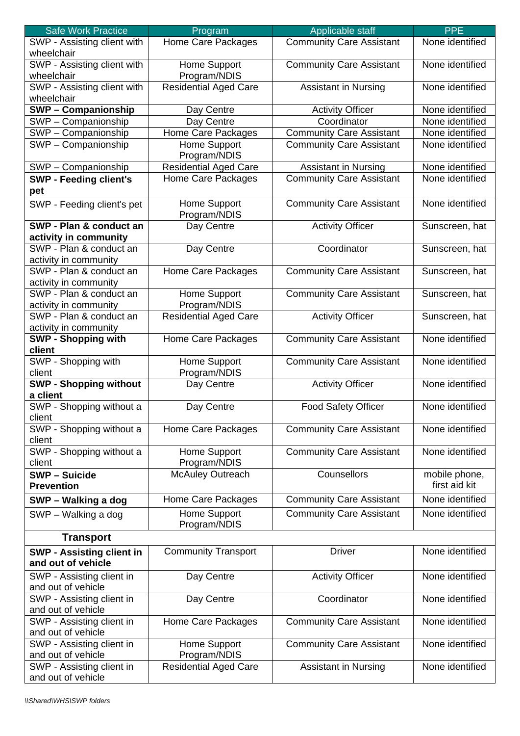| <b>Safe Work Practice</b>        | Program                      | Applicable staff                | <b>PPE</b>      |
|----------------------------------|------------------------------|---------------------------------|-----------------|
| SWP - Assisting client with      | Home Care Packages           | <b>Community Care Assistant</b> | None identified |
| wheelchair                       |                              |                                 |                 |
| SWP - Assisting client with      | Home Support                 | <b>Community Care Assistant</b> | None identified |
| wheelchair                       | Program/NDIS                 |                                 |                 |
| SWP - Assisting client with      | Residential Aged Care        | Assistant in Nursing            | None identified |
| wheelchair                       |                              |                                 |                 |
| <b>SWP-Companionship</b>         | Day Centre                   | <b>Activity Officer</b>         | None identified |
| SWP - Companionship              | Day Centre                   | Coordinator                     | None identified |
|                                  |                              | <b>Community Care Assistant</b> | None identified |
| SWP - Companionship              | Home Care Packages           |                                 |                 |
| SWP - Companionship              | Home Support                 | <b>Community Care Assistant</b> | None identified |
|                                  | Program/NDIS                 |                                 |                 |
| SWP - Companionship              | <b>Residential Aged Care</b> | <b>Assistant in Nursing</b>     | None identified |
| <b>SWP - Feeding client's</b>    | Home Care Packages           | <b>Community Care Assistant</b> | None identified |
| pet                              |                              |                                 |                 |
| SWP - Feeding client's pet       | Home Support                 | <b>Community Care Assistant</b> | None identified |
|                                  | Program/NDIS                 |                                 |                 |
| SWP - Plan & conduct an          | Day Centre                   | <b>Activity Officer</b>         | Sunscreen, hat  |
| activity in community            |                              |                                 |                 |
| SWP - Plan & conduct an          | Day Centre                   | Coordinator                     | Sunscreen, hat  |
| activity in community            |                              |                                 |                 |
| SWP - Plan & conduct an          | Home Care Packages           | <b>Community Care Assistant</b> | Sunscreen, hat  |
| activity in community            |                              |                                 |                 |
| SWP - Plan & conduct an          | Home Support                 | <b>Community Care Assistant</b> | Sunscreen, hat  |
| activity in community            | Program/NDIS                 |                                 |                 |
| SWP - Plan & conduct an          | <b>Residential Aged Care</b> | <b>Activity Officer</b>         | Sunscreen, hat  |
| activity in community            |                              |                                 |                 |
| <b>SWP - Shopping with</b>       | Home Care Packages           | <b>Community Care Assistant</b> | None identified |
| client                           |                              |                                 |                 |
|                                  |                              |                                 |                 |
| SWP - Shopping with              | Home Support                 | <b>Community Care Assistant</b> | None identified |
| client                           | Program/NDIS                 |                                 |                 |
| <b>SWP - Shopping without</b>    | Day Centre                   | <b>Activity Officer</b>         | None identified |
| a client                         |                              |                                 |                 |
| SWP - Shopping without a         | Day Centre                   | <b>Food Safety Officer</b>      | None identified |
| client                           |                              |                                 |                 |
| SWP - Shopping without a         | Home Care Packages           | <b>Community Care Assistant</b> | None identified |
| client                           |                              |                                 |                 |
| SWP - Shopping without a         | Home Support                 | <b>Community Care Assistant</b> | None identified |
| client                           | Program/NDIS                 |                                 |                 |
| <b>SWP - Suicide</b>             | <b>McAuley Outreach</b>      | Counsellors                     | mobile phone,   |
| <b>Prevention</b>                |                              |                                 | first aid kit   |
| SWP - Walking a dog              | Home Care Packages           | <b>Community Care Assistant</b> | None identified |
| SWP - Walking a dog              | Home Support                 | <b>Community Care Assistant</b> | None identified |
|                                  | Program/NDIS                 |                                 |                 |
|                                  |                              |                                 |                 |
| <b>Transport</b>                 |                              |                                 |                 |
| <b>SWP - Assisting client in</b> | <b>Community Transport</b>   | <b>Driver</b>                   | None identified |
| and out of vehicle               |                              |                                 |                 |
| SWP - Assisting client in        | Day Centre                   | <b>Activity Officer</b>         | None identified |
| and out of vehicle               |                              |                                 |                 |
| SWP - Assisting client in        | Day Centre                   | Coordinator                     | None identified |
| and out of vehicle               |                              |                                 |                 |
| SWP - Assisting client in        | Home Care Packages           | <b>Community Care Assistant</b> | None identified |
| and out of vehicle               |                              |                                 |                 |
| SWP - Assisting client in        | Home Support                 | <b>Community Care Assistant</b> | None identified |
| and out of vehicle               | Program/NDIS                 |                                 |                 |
| SWP - Assisting client in        | <b>Residential Aged Care</b> | <b>Assistant in Nursing</b>     | None identified |
| and out of vehicle               |                              |                                 |                 |
|                                  |                              |                                 |                 |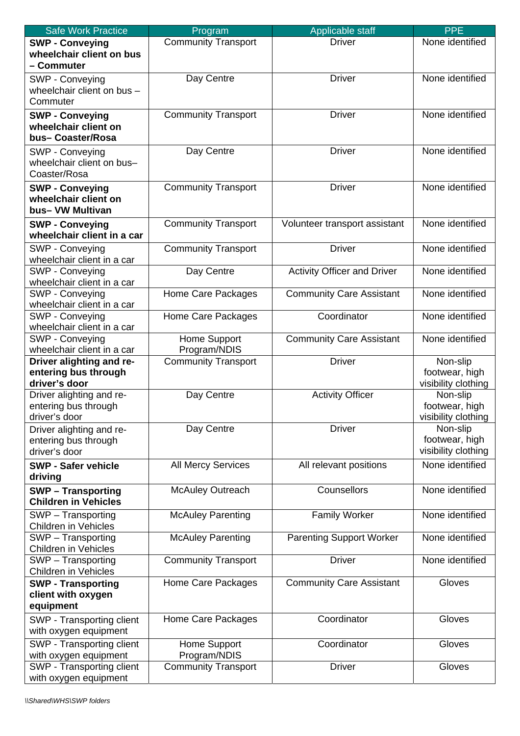| <b>Safe Work Practice</b>                                          | Program                      | Applicable staff                   | <b>PPE</b>                                        |
|--------------------------------------------------------------------|------------------------------|------------------------------------|---------------------------------------------------|
| <b>SWP - Conveying</b><br>wheelchair client on bus<br>- Commuter   | <b>Community Transport</b>   | <b>Driver</b>                      | None identified                                   |
| SWP - Conveying<br>wheelchair client on bus -<br>Commuter          | Day Centre                   | <b>Driver</b>                      | None identified                                   |
| <b>SWP - Conveying</b><br>wheelchair client on<br>bus-Coaster/Rosa | <b>Community Transport</b>   | <b>Driver</b>                      | None identified                                   |
| SWP - Conveying<br>wheelchair client on bus-<br>Coaster/Rosa       | Day Centre                   | <b>Driver</b>                      | None identified                                   |
| <b>SWP - Conveying</b><br>wheelchair client on<br>bus- VW Multivan | <b>Community Transport</b>   | <b>Driver</b>                      | None identified                                   |
| <b>SWP - Conveying</b><br>wheelchair client in a car               | <b>Community Transport</b>   | Volunteer transport assistant      | None identified                                   |
| SWP - Conveying<br>wheelchair client in a car                      | <b>Community Transport</b>   | <b>Driver</b>                      | None identified                                   |
| SWP - Conveying<br>wheelchair client in a car                      | Day Centre                   | <b>Activity Officer and Driver</b> | None identified                                   |
| SWP - Conveying<br>wheelchair client in a car                      | Home Care Packages           | <b>Community Care Assistant</b>    | None identified                                   |
| SWP - Conveying<br>wheelchair client in a car                      | Home Care Packages           | Coordinator                        | None identified                                   |
| SWP - Conveying<br>wheelchair client in a car                      | Home Support<br>Program/NDIS | <b>Community Care Assistant</b>    | None identified                                   |
| Driver alighting and re-<br>entering bus through<br>driver's door  | <b>Community Transport</b>   | <b>Driver</b>                      | Non-slip<br>footwear, high<br>visibility clothing |
| Driver alighting and re-<br>entering bus through<br>driver's door  | Day Centre                   | <b>Activity Officer</b>            | Non-slip<br>footwear, high<br>visibility clothing |
| Driver alighting and re-<br>entering bus through<br>driver's door  | Day Centre                   | <b>Driver</b>                      | Non-slip<br>footwear, high<br>visibility clothing |
| <b>SWP - Safer vehicle</b><br>driving                              | <b>All Mercy Services</b>    | All relevant positions             | None identified                                   |
| <b>SWP-Transporting</b><br><b>Children in Vehicles</b>             | <b>McAuley Outreach</b>      | Counsellors                        | None identified                                   |
| SWP - Transporting<br><b>Children in Vehicles</b>                  | <b>McAuley Parenting</b>     | <b>Family Worker</b>               | None identified                                   |
| SWP - Transporting<br><b>Children in Vehicles</b>                  | <b>McAuley Parenting</b>     | <b>Parenting Support Worker</b>    | None identified                                   |
| SWP - Transporting<br><b>Children in Vehicles</b>                  | <b>Community Transport</b>   | <b>Driver</b>                      | None identified                                   |
| <b>SWP - Transporting</b><br>client with oxygen<br>equipment       | Home Care Packages           | <b>Community Care Assistant</b>    | Gloves                                            |
| SWP - Transporting client<br>with oxygen equipment                 | Home Care Packages           | Coordinator                        | Gloves                                            |
| SWP - Transporting client<br>with oxygen equipment                 | Home Support<br>Program/NDIS | Coordinator                        | Gloves                                            |
| SWP - Transporting client<br>with oxygen equipment                 | <b>Community Transport</b>   | <b>Driver</b>                      | Gloves                                            |